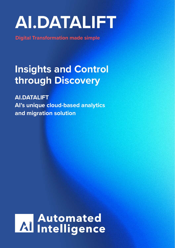# **AI.DATALIFT**

**Digital Transformation made simple**

### **Insights and Control through Discovery**

**AI.DATALIFT AI's unique cloud-based analytics and migration solution**

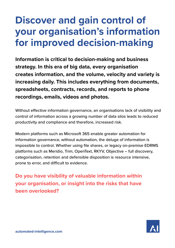### **Discover and gain control of your organisation's information for improved decision-making**

**Information is critical to decision-making and business strategy. In this era of big data, every organisation creates information, and the volume, velocity and variety is increasing daily. This includes everything from documents, spreadsheets, contracts, records, and reports to phone recordings, emails, videos and photos.** 

Without effective information governance, an organisations lack of visibility and control of information across a growing number of data silos leads to reduced productivity and compliance and therefore, increased risk.

Modern platforms such as Microsoft 365 enable greater automation for information governance, without automation, the deluge of information is impossible to control. Whether using file shares, or legacy on-premise EDRMS platforms such as Meridio, Trim, OpenText, RKYV, Objective – full discovery, categorisation, retention and defensible disposition is resource intensive, prone to error, and difficult to evidence.

**Do you have visibility of valuable information within your organisation, or insight into the risks that have been overlooked?**

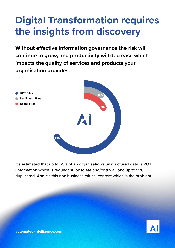### **Digital Transformation requires the insights from discovery**

**Without effective information governance the risk will continue to grow, and productivity will decrease which impacts the quality of services and products your organisation provides.**



It's estimated that up to 65% of an organisation's unstructured data is ROT (information which is redundant, obsolete and/or trivial) and up to 15% duplicated. And it's this non business-critical content which is the problem.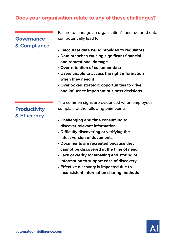#### **Does your organisation relate to any of these challenges?**

#### **Governance & Compliance**

Failure to manage an organisation's unstructured data can potentially lead to:

- **• Inaccurate data being provided to regulators**
- **• Data breaches causing significant financial and reputational damage**
- **• Over-retention of customer data**
- **• Users unable to access the right information when they need it**
- **• Overlooked strategic opportunities to drive and influence important business decisions**

#### **Productivity & Efficiency**

The common signs are evidenced when employees complain of the following pain points:

- **• Challenging and time consuming to discover relevant information**
- **• Difficulty discovering or verifying the latest version of documents**
- **• Documents are recreated because they cannot be discovered at the time of need**
- **• Lack of clarity for labelling and storing of information to support ease of discovery**
- **• Effective discovery is impacted due to inconsistent information sharing methods**

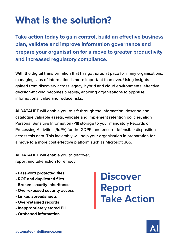## **What is the solution?**

**Take action today to gain control, build an effective business plan, validate and improve information governance and prepare your organisation for a move to greater productivity and increased regulatory compliance.** 

With the digital transformation that has gathered at pace for many organisations, managing silos of information is more important than ever. Using insights gained from discovery across legacy, hybrid and cloud environments, effective decision-making becomes a reality, enabling organisations to appraise informational value and reduce risks.

**AI.DATALIFT** will enable you to sift through the information, describe and catalogue valuable assets, validate and implement retention policies, align Personal Sensitive Information (PII) storage to your mandatory Records of Processing Activities (RoPA) for the GDPR, and ensure defensible disposition across this data. This inevitably will help your organisation in preparation for a move to a more cost effective platform such as Microsoft 365.

**AI.DATALIFT** will enable you to discover, report and take action to remedy:

- **• Password protected files**
- **• ROT and duplicated files**
- **• Broken security inheritance**
- **• Over-exposed security access**
- **• Linked spreadsheets**
- **• Over-retained records**
- **• Inappropriately stored PII**
- **• Orphaned information**

**Discover Report Take Action**